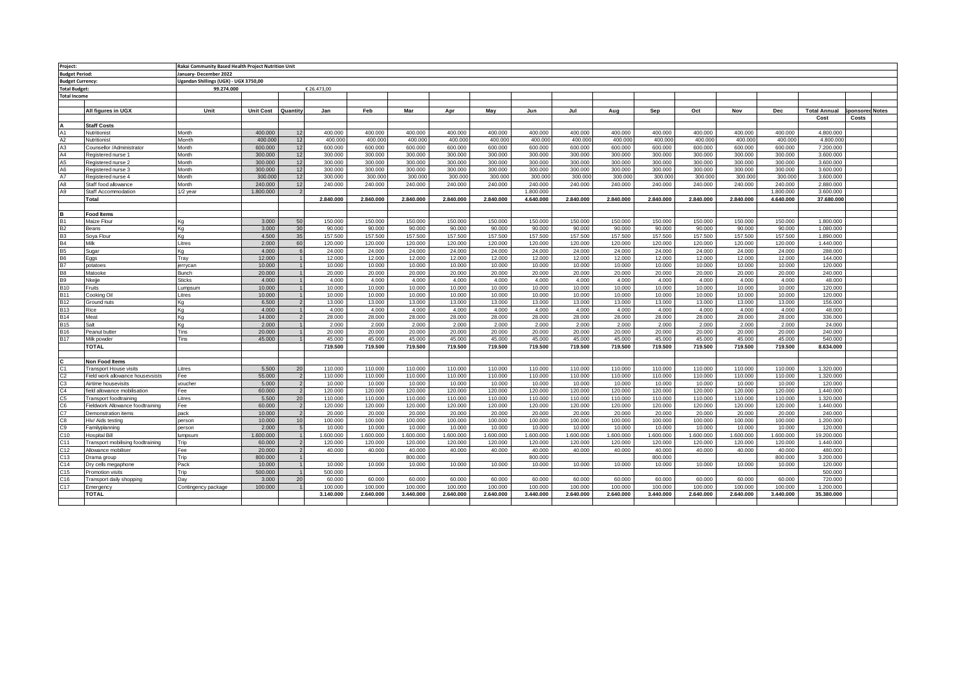| Project:                |                                   | Rakai Community Based Health Project Nutrition Unit |                  |          |             |           |           |           |           |           |           |           |           |           |           |           |                     |                 |  |
|-------------------------|-----------------------------------|-----------------------------------------------------|------------------|----------|-------------|-----------|-----------|-----------|-----------|-----------|-----------|-----------|-----------|-----------|-----------|-----------|---------------------|-----------------|--|
| <b>Budget Period:</b>   |                                   | January-December 2022                               |                  |          |             |           |           |           |           |           |           |           |           |           |           |           |                     |                 |  |
| <b>Budget Currency:</b> |                                   | Ugandan Shillings (UGX) - UGX 3750,00               |                  |          |             |           |           |           |           |           |           |           |           |           |           |           |                     |                 |  |
|                         |                                   |                                                     |                  |          |             |           |           |           |           |           |           |           |           |           |           |           |                     |                 |  |
| <b>Total Budget:</b>    |                                   | 99.274.000                                          |                  |          | € 26.473,00 |           |           |           |           |           |           |           |           |           |           |           |                     |                 |  |
| <b>Total Income</b>     |                                   |                                                     |                  |          |             |           |           |           |           |           |           |           |           |           |           |           |                     |                 |  |
|                         |                                   |                                                     |                  |          |             |           |           |           |           |           |           |           |           |           |           |           |                     |                 |  |
|                         | All figures in UGX                | Unit                                                | <b>Unit Cost</b> | Quantity | Jan         | Feb       | Mar       | Apr       | May       | Jun       | Jul       | Aug       | Sep       | Oct       | Nov       | Dec       | <b>Total Annual</b> | Sponsored Notes |  |
|                         |                                   |                                                     |                  |          |             |           |           |           |           |           |           |           |           |           |           |           | Cost                | Costs           |  |
|                         | <b>Staff Costs</b>                |                                                     |                  |          |             |           |           |           |           |           |           |           |           |           |           |           |                     |                 |  |
| A1                      | Nutritionist                      | Month                                               | 400,000          | 12       | 400.000     | 400,000   | 400.000   | 400,000   | 400,000   | 400.000   | 400,000   | 400,000   | 400,000   | 400,000   | 400.000   | 400.000   | 4.800.000           |                 |  |
| A2                      | Nutritionist                      | Month                                               | 400,000          | 12       | 400,000     | 400,000   | 400,000   | 400,000   | 400,000   | 400,000   | 400,000   | 400,000   | 400,000   | 400,000   | 400,000   | 400,000   | 4.800.00            |                 |  |
| A <sub>3</sub>          | Counsellor /Administrator         | Month                                               | 600,000          | 12       | 600,000     | 600,000   | 600,000   | 600,000   | 600,000   | 600,000   | 600,000   | 600,000   | 600,000   | 600,000   | 600,000   | 600,000   | 7.200.000           |                 |  |
| AA                      | Registered nurse 1                | Month                                               | 300,000          | 12       | 300.000     | 300,000   | 300.000   | 300.000   | 300,000   | 300.000   | 300.000   | 300.000   | 300.000   | 300.000   | 300.000   | 300.000   | 3.600.000           |                 |  |
| A <sub>5</sub>          | Registered nurse 2                | Month                                               | 300,000          | 12       | 300.000     | 300.000   | 300.000   | 300.000   | 300,000   | 300.000   | 300.000   | 300,000   | 300.000   | 300.000   | 300.000   | 300.000   | 3.600.000           |                 |  |
| A <sub>6</sub>          | Registered nurse 3                | Month                                               | 300,000          | 12       | 300,000     | 300,000   | 300,000   | 300,000   | 300,000   | 300,000   | 300,000   | 300,000   | 300,000   | 300,000   | 300,000   | 300,000   | 3,600,000           |                 |  |
| A7                      | Registered nurse 4                | Month                                               | 300,000          | 12       | 300,000     | 300,00    | 300,000   | 300,00    | 300,000   | 300,000   | 300,000   | 300,000   | 300,000   | 300,000   | 300.00    | 300,000   | 3,600,000           |                 |  |
| A8                      | Staff food allowance              | Month                                               | 240,000          | 12       | 240,000     | 240,000   | 240.000   | 240,000   | 240,000   | 240.000   | 240,000   | 240,000   | 240,000   | 240,000   | 240,000   | 240,000   | 2.880,000           |                 |  |
| A <sub>9</sub>          | Staff Accommodation               | $1/2$ vear                                          | 1.800.000        |          |             |           |           |           |           | 1.800.000 |           |           |           |           |           | 1.800.000 | 3,600,000           |                 |  |
|                         | Total                             |                                                     |                  |          | 2.840.000   | 2.840.000 | 2.840.000 | 2.840.000 | 2.840.000 | 4.640.000 | 2.840.000 | 2.840.000 | 2.840.000 | 2.840.000 | 2.840.000 | 4.640.000 | 37,680,000          |                 |  |
|                         |                                   |                                                     |                  |          |             |           |           |           |           |           |           |           |           |           |           |           |                     |                 |  |
|                         | Food Items                        |                                                     |                  |          |             |           |           |           |           |           |           |           |           |           |           |           |                     |                 |  |
|                         | Aaize Flour                       | Κa                                                  | 3.000            | 50       | 150,000     | 150,000   | 150,000   | 150,000   | 150,000   | 150,000   | 150,000   | 150,000   | 150,000   | 150,000   | 150,000   | 150,000   | 1,800,000           |                 |  |
|                         | Beans                             | Kg                                                  | 3.000            | 30       | 90.000      | 90.000    | 90.000    | 90.000    | 90.000    | 90.000    | 90.000    | 90.000    | 90.000    | 90.000    | 90.000    | 90.000    | 1.080.000           |                 |  |
|                         | Soya Flour                        | Kg                                                  | 4.500            | 35       | 157.500     | 157.500   | 157.500   | 157.500   | 157.500   | 157.500   | 157.500   | 157.500   | 157.500   | 157.500   | 157.500   | 157.500   | 1.890.000           |                 |  |
| <b>B4</b>               | Milk                              | Litres                                              | 2.000            | 60       | 120.000     | 120,000   | 120,000   | 120,000   | 120,000   | 120,000   | 120.000   | 120,000   | 120,000   | 120.000   | 120,000   | 120,000   | 1.440.000           |                 |  |
|                         | Sugar                             | Κa                                                  | 4.000            |          | 24.000      | 24,000    | 24.000    | 24,000    | 24,000    | 24.000    | 24,000    | 24,000    | 24.000    | 24,000    | 24.000    | 24,000    | 288,000             |                 |  |
| <b>B6</b>               | Eggs                              | Tray                                                | 12.000           |          | 12.000      | 12.000    | 12.000    | 12.000    | 12.000    | 12.000    | 12.000    | 12.000    | 12.000    | 12.000    | 12.000    | 12.000    | 144,000             |                 |  |
| B7                      | ootatoes                          | jerrycan                                            | 10,000           |          | 10.000      | 10,000    | 10,000    | 10,000    | 10,000    | 10,000    | 10,000    | 10,000    | 10,000    | 10,000    | 10.000    | 10,000    | 120,000             |                 |  |
| <b>B8</b>               | Matooke                           | <b>Bunch</b>                                        | 20,000           |          | 20,000      | 20.000    | 20,000    | 20,000    | 20.000    | 20,000    | 20,000    | 20.000    | 20,000    | 20.000    | 20.000    | 20,000    | 240,000             |                 |  |
| <b>B9</b>               | lkejje                            | <b>Sticks</b>                                       | 4.000            |          | 4.000       | 4.000     | 4.000     | 4.000     | 4.000     | 4.000     | 4.000     | 4.000     | 4.000     | 4.000     | 4.000     | 4.000     | 48,000              |                 |  |
| <b>B10</b>              | Fruits                            | Lumpsum                                             | 10,000           |          | 10.000      | 10.000    | 10.000    | 10.000    | 10.000    | 10.000    | 10.000    | 10.000    | 10.000    | 10.000    | 10.000    | 10.000    | 120.000             |                 |  |
| <b>B11</b>              | Cooking Oil                       | Litres                                              | 10.000           |          | 10,000      | 10,000    | 10,000    | 10,000    | 10,000    | 10,000    | 10.000    | 10,000    | 10,000    | 10,000    | 10.000    | 10,000    | 120,000             |                 |  |
| <b>B12</b>              | Ground nuts                       | Ka                                                  | 6,500            |          | 13,000      | 13,000    | 13.000    | 13,000    | 13,000    | 13,000    | 13,000    | 13,000    | 13,000    | 13,000    | 13,000    | 13,000    | 156,000             |                 |  |
| <b>B13</b>              | kice                              | Kg                                                  | 4.000            |          | 4.000       | 4.000     | 4.000     | 4.000     | 4.000     | 4.000     | 4.000     | 4.000     | 4.000     | 4.000     | 4.000     | 4.000     | 48,000              |                 |  |
| <b>B14</b>              | Meat                              | Ka                                                  | 14,000           |          | 28,000      | 28,000    | 28,000    | 28,000    | 28,000    | 28,000    | 28,000    | 28,000    | 28,000    | 28,000    | 28,000    | 28,000    | 336,000             |                 |  |
| <b>B15</b>              | Salt                              | Kg                                                  | 2.000            |          | 2.000       | 2.000     | 2.000     | 2.000     | 2.000     | 2.000     | 2.000     | 2.000     | 2.000     | 2.000     | 2,000     | 2.000     | 24,000              |                 |  |
| <b>B16</b>              | Peanut butter                     | Tins                                                | 20,000           |          | 20,000      | 20,000    | 20,000    | 20,000    | 20,000    | 20,000    | 20,000    | 20,000    | 20,000    | 20,000    | 20,000    | 20,000    | 240,000             |                 |  |
| <b>B17</b>              | Milk powder                       | Tins                                                | 45,000           |          | 45.000      | 45,000    | 45.000    | 45.000    | 45,000    | 45.000    | 45,000    | 45,000    | 45.000    | 45,000    | 45,000    | 45.000    | 540,000             |                 |  |
|                         | TOTAL                             |                                                     |                  |          | 719.500     | 719,500   | 719.500   | 719.500   | 719.500   | 719.500   | 719.500   | 719.500   | 719.500   | 719.500   | 719.500   | 719.500   | 8.634.000           |                 |  |
|                         |                                   |                                                     |                  |          |             |           |           |           |           |           |           |           |           |           |           |           |                     |                 |  |
|                         | Non Food Items                    |                                                     |                  |          |             |           |           |           |           |           |           |           |           |           |           |           |                     |                 |  |
|                         | <b>Transport House visits</b>     | Litres                                              | 5.500            | 20       | 110.000     | 110,000   | 110,000   | 110.000   | 110.000   | 110,000   | 110.000   | 110.000   | 110.000   | 110.000   | 110.000   | 110,000   | 1.320,000           |                 |  |
| C <sub>2</sub>          | Field work allowance housevsists  | Fee                                                 | 55,000           |          | 110.000     | 110,000   | 110.000   | 110.000   | 110.000   | 110,000   | 110.000   | 110.000   | 110.000   | 110.000   | 110,000   | 110,000   | 1.320,000           |                 |  |
| C <sub>3</sub>          | Airtime housevisits               | voucher                                             | 5.000            |          | 10,000      | 10,000    | 10,000    | 10,000    | 10,000    | 10,000    | 10,000    | 10,000    | 10,000    | 10,000    | 10,000    | 10,000    | 120,000             |                 |  |
| C <sub>4</sub>          | ield allowance mobilisation       | Fee                                                 | 60,000           |          | 120,000     | 120,000   | 120,000   | 120,000   | 120,000   | 120,000   | 120,000   | 120,000   | 120,000   | 120,000   | 120,000   | 120,000   | 1.440.000           |                 |  |
| C <sub>5</sub>          | <b>Transport foodtraining</b>     | Litres                                              | 5.500            | 20       | 110.000     | 110.000   | 110.000   | 110.000   | 110.000   | 110.000   | 110.000   | 110.000   | 110.000   | 110.000   | 110.000   | 110.000   | 1.320.000           |                 |  |
| C <sub>6</sub>          | ieldwork Allowance foodtraining   | Fee                                                 | 60.000           |          | 120.000     | 120.000   | 120.000   | 120.000   | 120.000   | 120.000   | 120.000   | 120.000   | 120.000   | 120.000   | 120.000   | 120.000   | 1.440.000           |                 |  |
|                         | Demonstration items               | pack                                                | 10,000           |          | 20,000      | 20.000    | 20,000    | 20.000    | 20,000    | 20,000    | 20.000    | 20.000    | 20,000    | 20.000    | 20,000    | 20,000    | 240,000             |                 |  |
| C8                      | liv/ Aids testing                 | person                                              | 10,000           | 10       | 100.000     | 100,000   | 100,000   | 100,000   | 100,000   | 100,000   | 100,000   | 100,000   | 100,000   | 100.000   | 100,000   | 100,000   | 1.200.000           |                 |  |
| C <sub>9</sub>          | Familyplanning                    | person                                              | 2.000            |          | 10.000      | 10.000    | 10.000    | 10,000    | 10.000    | 10.000    | 10,000    | 10.000    | 10.000    | 10,000    | 10,000    | 10,000    | 120.000             |                 |  |
|                         |                                   |                                                     |                  |          |             |           |           |           |           |           |           |           |           |           |           |           |                     |                 |  |
| C10                     | Hospital Bill                     | lumpsum                                             | 1.600.000        |          | 1.600.000   | 1.600.000 | 1.600.000 | 1.600.000 | 1.600.000 | 1.600.000 | 1.600.000 | 1.600.000 | 1.600.000 | 1.600.000 | 1.600.000 | 1.600.000 | 19.200.000          |                 |  |
| C <sub>11</sub>         | Transport mobilising foodtraining | Trip                                                | 60,000           |          | 120,000     | 120,000   | 120.000   | 120,000   | 120,000   | 120,000   | 120,000   | 120,000   | 120,000   | 120.000   | 120,000   | 120,000   | 1.440.000           |                 |  |
| C <sub>12</sub>         | Allowance mobiliser               | Fee                                                 | 20,000           |          | 40.000      | 40,000    | 40,000    | 40,000    | 40,000    | 40.000    | 40,000    | 40,000    | 40,000    | 40,000    | 40.000    | 40,000    | 480,000             |                 |  |
| C13                     | Drama group                       | Trip                                                | 800.000          |          |             |           | 800,000   |           |           | 800.000   |           |           | 800.000   |           |           | 800.000   | 3.200.000           |                 |  |
| C14                     | Dry cells megaphone               | Pack                                                | 10,000           |          | 10,000      | 10,000    | 10,000    | 10.000    | 10,000    | 10,000    | 10.000    | 10,000    | 10,000    | 10,000    | 10,000    | 10,000    | 120,000             |                 |  |
| C <sub>15</sub>         | Promotion visits                  | Trip                                                | 500,000          |          | 500,000     |           |           |           |           |           |           |           |           |           |           |           | 500,000             |                 |  |
| C16                     | Fransport daily shopping          | Day                                                 | 3.000            | 20       | 60,000      | 60,000    | 60,000    | 60,000    | 60,000    | 60,000    | 60,000    | 60,000    | 60,000    | 60,000    | 60,000    | 60,000    | 720,000             |                 |  |
| C <sub>17</sub>         | Emergency                         | Contingency package                                 | 100,000          |          | 100,000     | 100,000   | 100,000   | 100,000   | 100,000   | 100,000   | 100,000   | 100,000   | 100,000   | 100,000   | 100,000   | 100,000   | 1.200.000           |                 |  |
|                         | TOTAL                             |                                                     |                  |          | 3.140.000   | 2.640.000 | 3.440.000 | 2.640.000 | 2.640.000 | 3.440.000 | 2.640.000 | 2.640.000 | 3.440.000 | 2.640.000 | 2.640.000 | 3.440.000 | 35.380.000          |                 |  |
|                         |                                   |                                                     |                  |          |             |           |           |           |           |           |           |           |           |           |           |           |                     |                 |  |